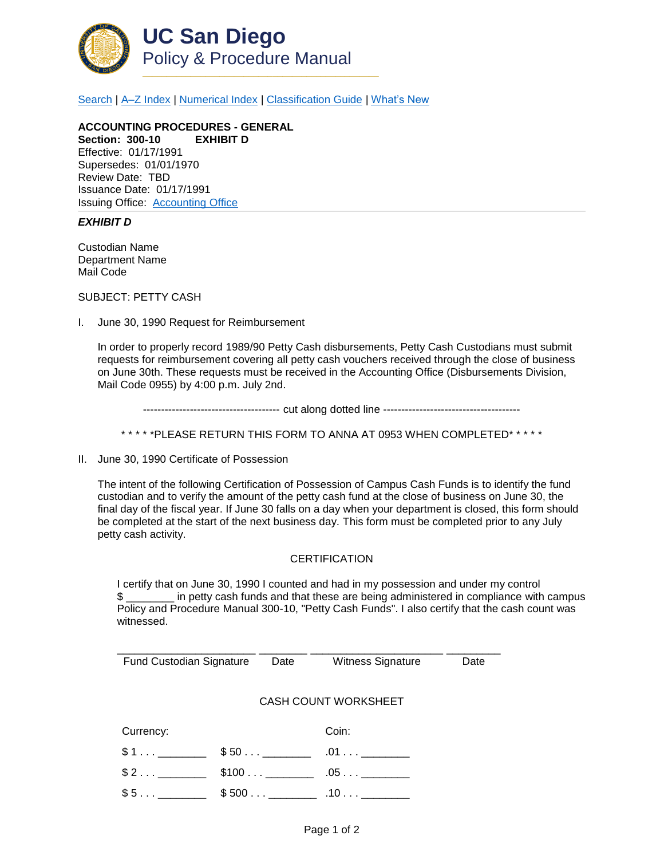

[Search](http://adminrecords.ucsd.edu/ppm/index.html) | [A–Z Index](http://adminrecords.ucsd.edu/ppm/ppmindex.html) | [Numerical Index](http://adminrecords.ucsd.edu/ppm/numerical.html) | [Classification Guide](http://adminrecords.ucsd.edu/ppm/alphabetical.html) | [What's New](http://adminrecords.ucsd.edu/ppm/whatsnew.html)

**ACCOUNTING PROCEDURES - GENERAL Section: 300-10 EXHIBIT D** Effective: 01/17/1991 Supersedes: 01/01/1970 Review Date: TBD Issuance Date: 01/17/1991 Issuing Office:[Accounting Office](http://blink.ucsd.edu/sponsor/BFS/divisions/general-accounting/)

## *EXHIBIT D*

Custodian Name Department Name Mail Code

SUBJECT: PETTY CASH

I. June 30, 1990 Request for Reimbursement

In order to properly record 1989/90 Petty Cash disbursements, Petty Cash Custodians must submit requests for reimbursement covering all petty cash vouchers received through the close of business on June 30th. These requests must be received in the Accounting Office (Disbursements Division, Mail Code 0955) by 4:00 p.m. July 2nd.

-------------------------------------- cut along dotted line --------------------------------------

\* \* \* \* \*PLEASE RETURN THIS FORM TO ANNA AT 0953 WHEN COMPLETED\* \* \* \* \*

II. June 30, 1990 Certificate of Possession

The intent of the following Certification of Possession of Campus Cash Funds is to identify the fund custodian and to verify the amount of the petty cash fund at the close of business on June 30, the final day of the fiscal year. If June 30 falls on a day when your department is closed, this form should be completed at the start of the next business day. This form must be completed prior to any July petty cash activity.

## **CERTIFICATION**

I certify that on June 30, 1990 I counted and had in my possession and under my control \$ \_\_\_\_\_\_\_\_ in petty cash funds and that these are being administered in compliance with campus Policy and Procedure Manual 300-10, "Petty Cash Funds". I also certify that the cash count was witnessed.

| <b>Fund Custodian Signature</b> |  | Date | <b>Witness Signature</b> | Date |  |  |
|---------------------------------|--|------|--------------------------|------|--|--|
|                                 |  |      |                          |      |  |  |
|                                 |  |      |                          |      |  |  |
| CASH COUNT WORKSHEET            |  |      |                          |      |  |  |
|                                 |  |      |                          |      |  |  |
| Currency:                       |  |      | Coin:                    |      |  |  |
|                                 |  |      |                          |      |  |  |
| \$1                             |  |      | .01                      |      |  |  |
|                                 |  |      |                          |      |  |  |
| \$2                             |  |      | $.05\dots$               |      |  |  |
| \$5                             |  |      |                          |      |  |  |
|                                 |  |      |                          |      |  |  |
|                                 |  |      |                          |      |  |  |